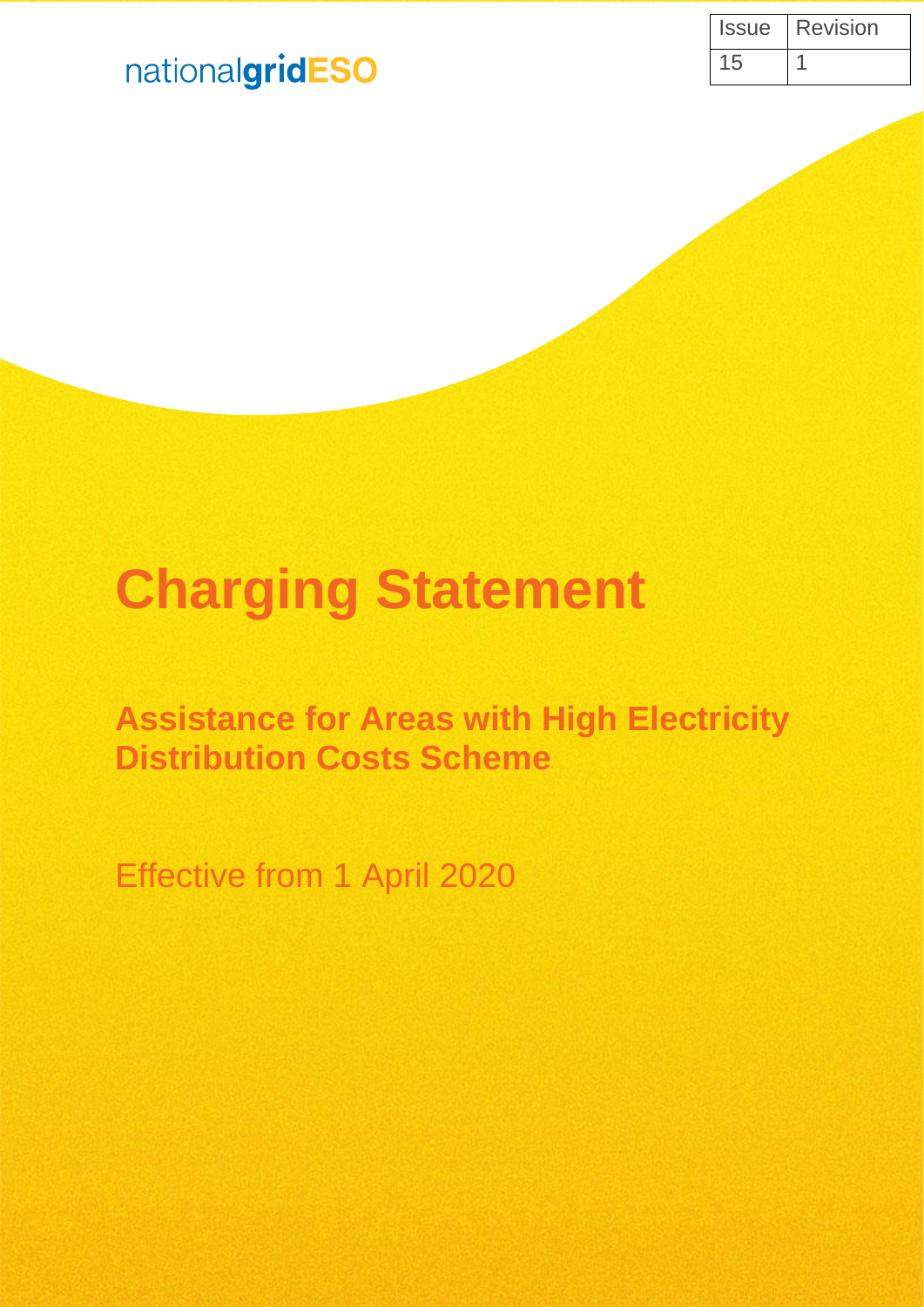| Issue | <b>Revision</b> |
|-------|-----------------|
| 15    |                 |

## nationalgridESO

# **Charging Statement**

**Assistance for Areas with High Electricity Distribution Costs Scheme**

Effective from 1 April 2020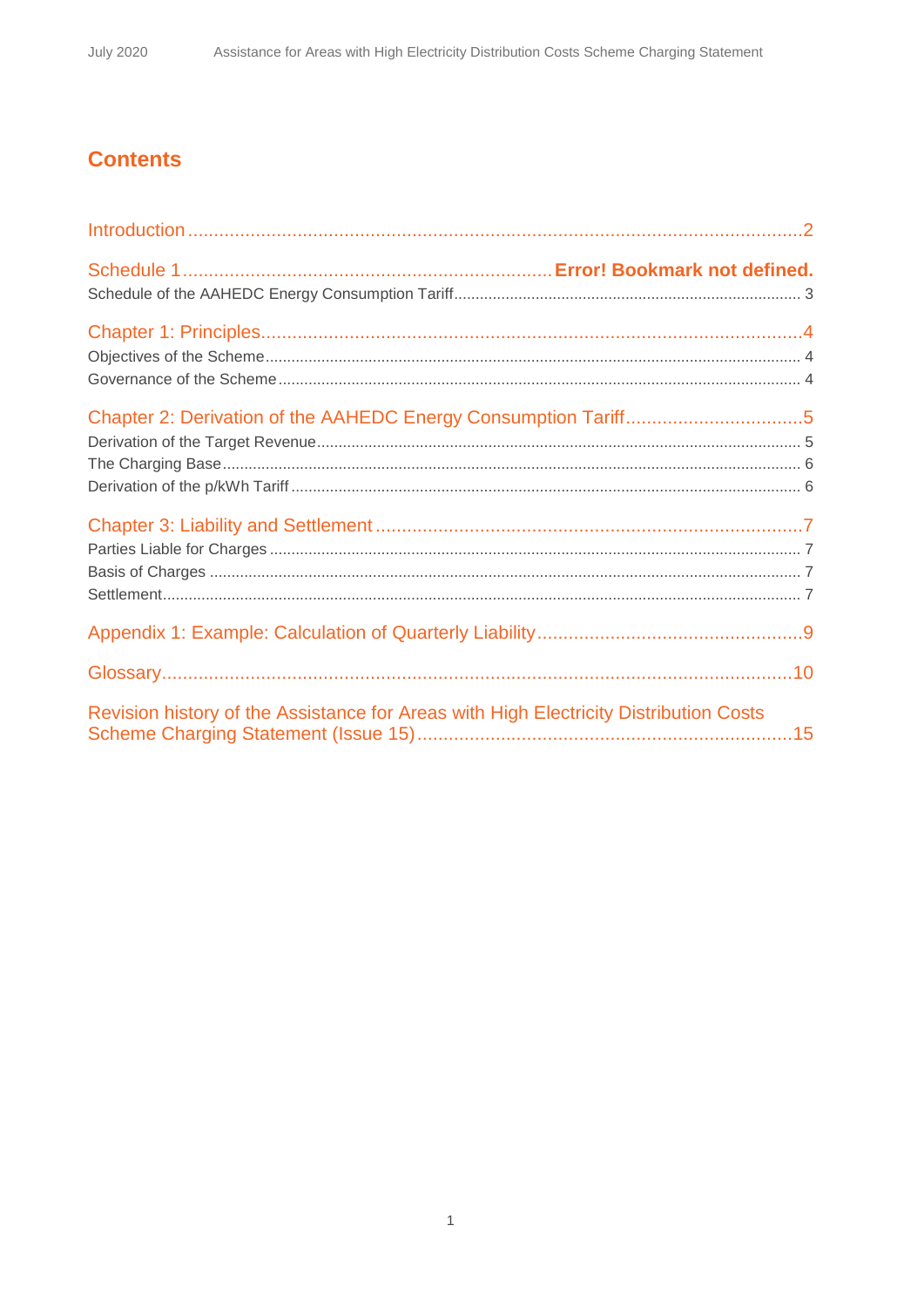## **Contents**

| Revision history of the Assistance for Areas with High Electricity Distribution Costs |  |
|---------------------------------------------------------------------------------------|--|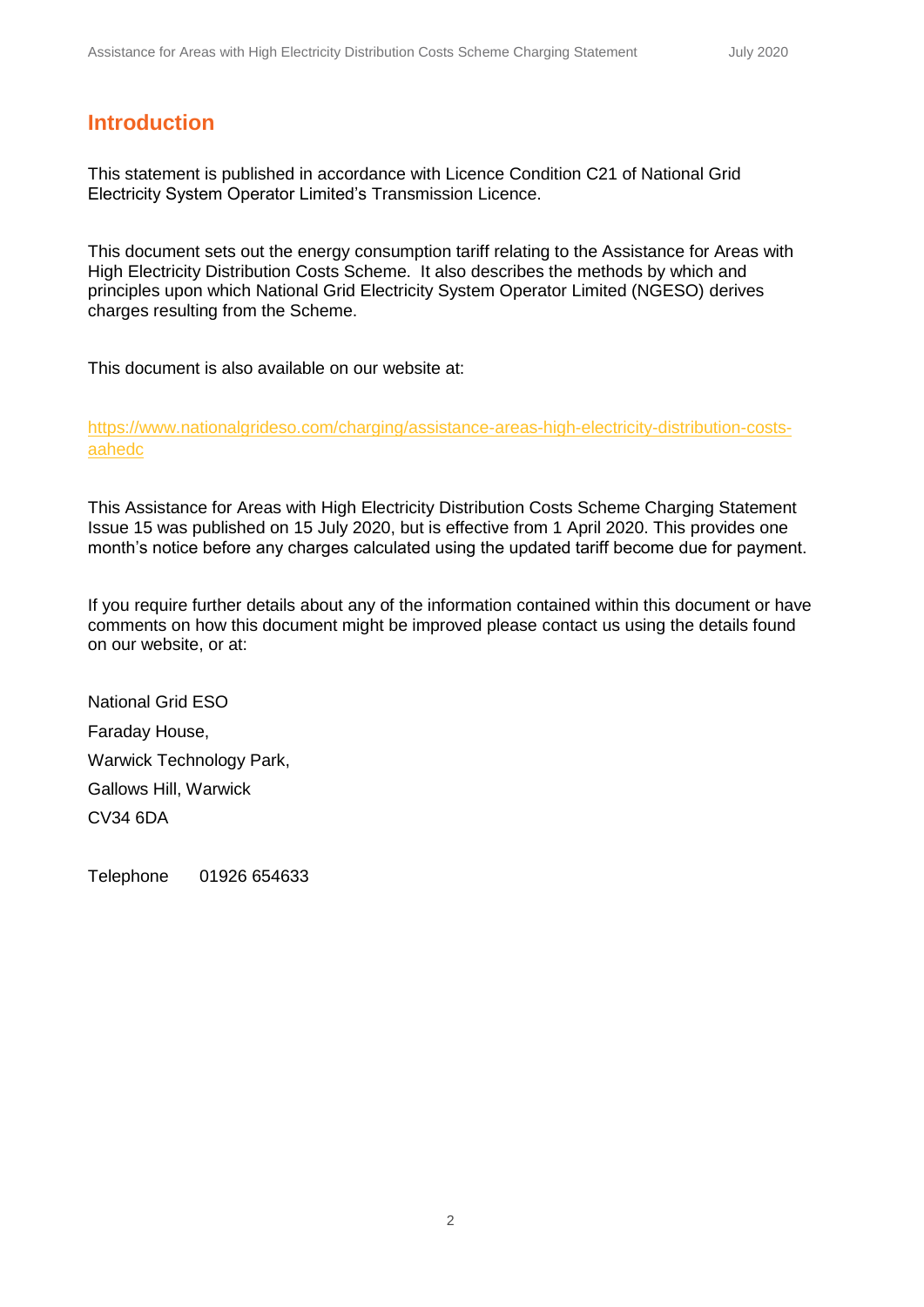### **Introduction**

This statement is published in accordance with Licence Condition C21 of National Grid Electricity System Operator Limited's Transmission Licence.

This document sets out the energy consumption tariff relating to the Assistance for Areas with High Electricity Distribution Costs Scheme. It also describes the methods by which and principles upon which National Grid Electricity System Operator Limited (NGESO) derives charges resulting from the Scheme.

This document is also available on our website at:

[https://www.nationalgrideso.com/charging/assistance-areas-high-electricity-distribution-costs](https://www.nationalgrideso.com/charging/assistance-areas-high-electricity-distribution-costs-aahedc)[aahedc](https://www.nationalgrideso.com/charging/assistance-areas-high-electricity-distribution-costs-aahedc)

This Assistance for Areas with High Electricity Distribution Costs Scheme Charging Statement Issue 15 was published on 15 July 2020, but is effective from 1 April 2020. This provides one month's notice before any charges calculated using the updated tariff become due for payment.

If you require further details about any of the information contained within this document or have comments on how this document might be improved please contact us using the details found on our website, or at:

National Grid ESO Faraday House, Warwick Technology Park, Gallows Hill, Warwick CV34 6DA

Telephone 01926 654633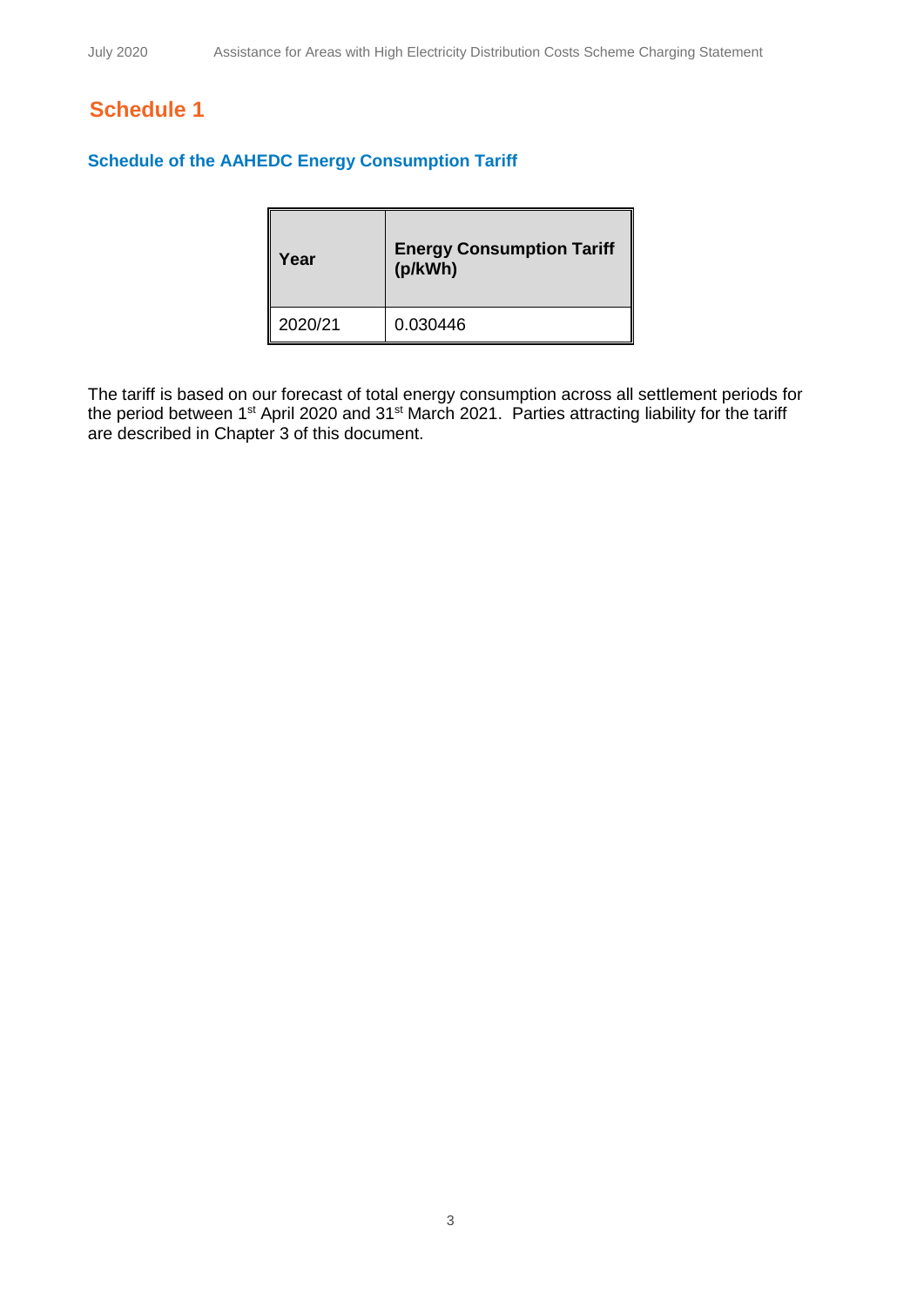## **Schedule 1**

#### **Schedule of the AAHEDC Energy Consumption Tariff**

| Year    | <b>Energy Consumption Tariff</b><br>(p/kWh) |
|---------|---------------------------------------------|
| 2020/21 | 0.030446                                    |

The tariff is based on our forecast of total energy consumption across all settlement periods for the period between 1<sup>st</sup> April 2020 and 31<sup>st</sup> March 2021. Parties attracting liability for the tariff are described in Chapter 3 of this document.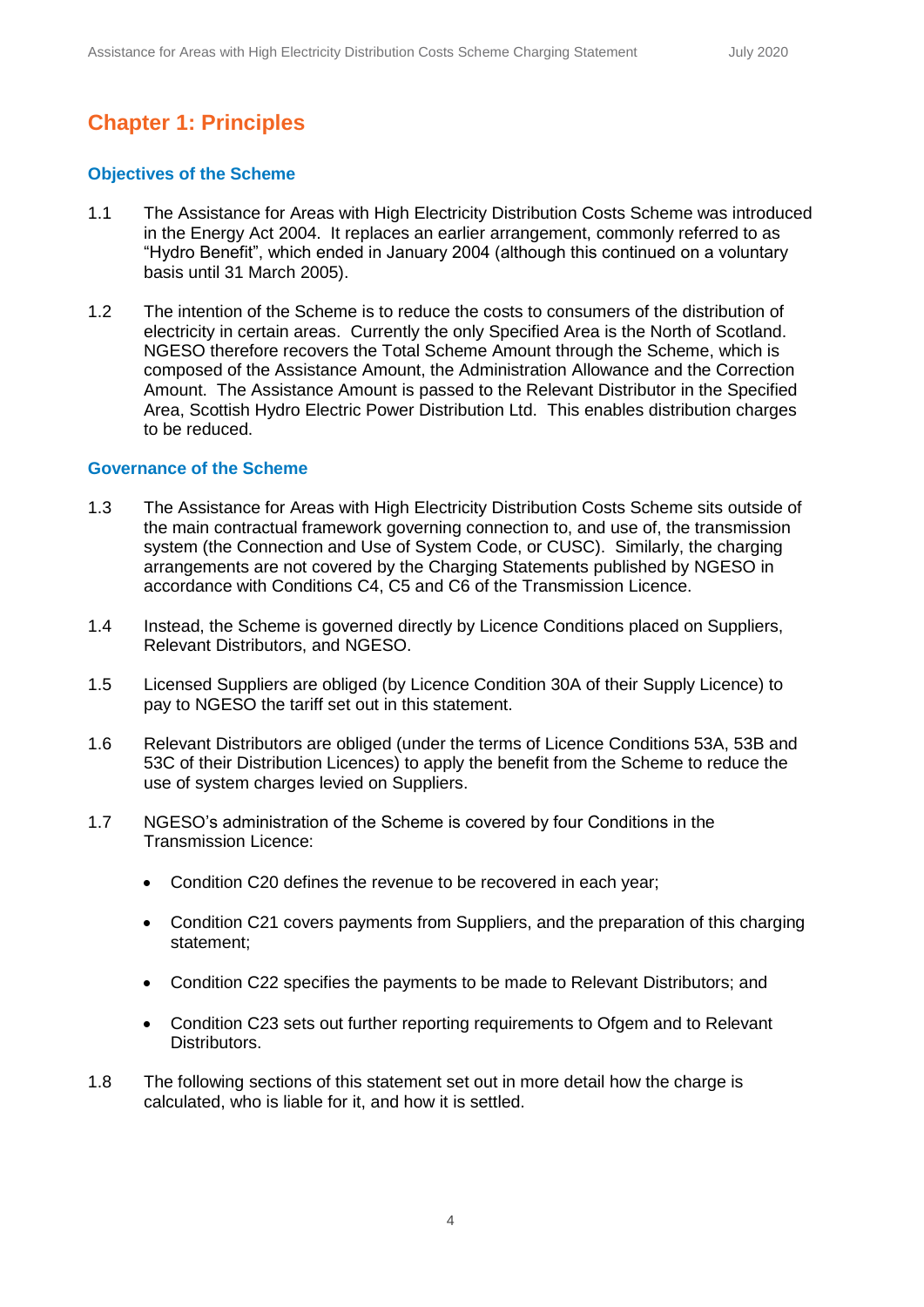## **Chapter 1: Principles**

#### **Objectives of the Scheme**

- 1.1 The Assistance for Areas with High Electricity Distribution Costs Scheme was introduced in the Energy Act 2004. It replaces an earlier arrangement, commonly referred to as "Hydro Benefit", which ended in January 2004 (although this continued on a voluntary basis until 31 March 2005).
- 1.2 The intention of the Scheme is to reduce the costs to consumers of the distribution of electricity in certain areas. Currently the only Specified Area is the North of Scotland. NGESO therefore recovers the Total Scheme Amount through the Scheme, which is composed of the Assistance Amount, the Administration Allowance and the Correction Amount. The Assistance Amount is passed to the Relevant Distributor in the Specified Area, Scottish Hydro Electric Power Distribution Ltd. This enables distribution charges to be reduced.

#### **Governance of the Scheme**

- 1.3 The Assistance for Areas with High Electricity Distribution Costs Scheme sits outside of the main contractual framework governing connection to, and use of, the transmission system (the Connection and Use of System Code, or CUSC). Similarly, the charging arrangements are not covered by the Charging Statements published by NGESO in accordance with Conditions C4, C5 and C6 of the Transmission Licence.
- 1.4 Instead, the Scheme is governed directly by Licence Conditions placed on Suppliers, Relevant Distributors, and NGESO.
- 1.5 Licensed Suppliers are obliged (by Licence Condition 30A of their Supply Licence) to pay to NGESO the tariff set out in this statement.
- 1.6 Relevant Distributors are obliged (under the terms of Licence Conditions 53A, 53B and 53C of their Distribution Licences) to apply the benefit from the Scheme to reduce the use of system charges levied on Suppliers.
- 1.7 NGESO's administration of the Scheme is covered by four Conditions in the Transmission Licence:
	- Condition C20 defines the revenue to be recovered in each year;
	- Condition C21 covers payments from Suppliers, and the preparation of this charging statement;
	- Condition C22 specifies the payments to be made to Relevant Distributors; and
	- Condition C23 sets out further reporting requirements to Ofgem and to Relevant Distributors.
- 1.8 The following sections of this statement set out in more detail how the charge is calculated, who is liable for it, and how it is settled.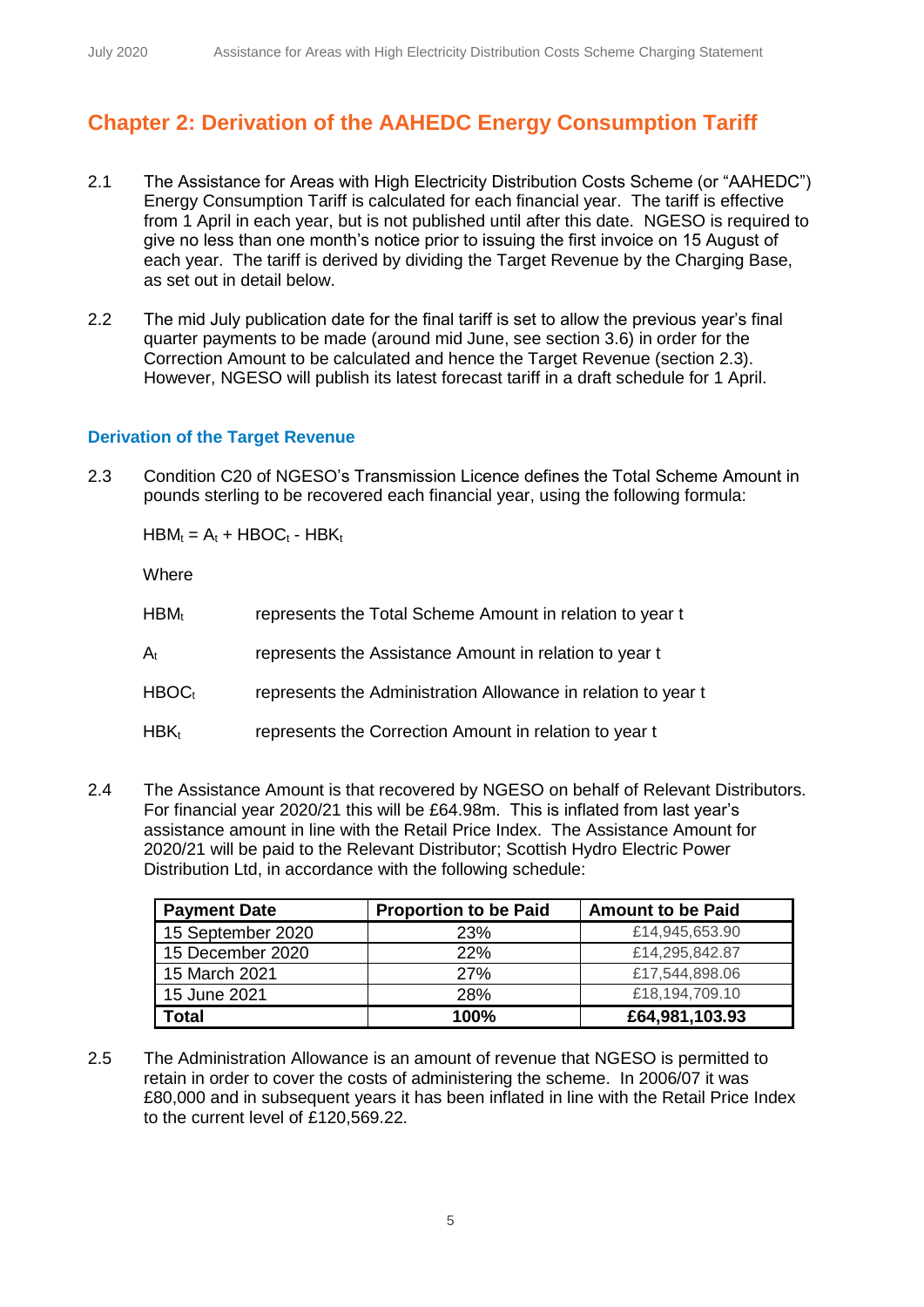## **Chapter 2: Derivation of the AAHEDC Energy Consumption Tariff**

- 2.1 The Assistance for Areas with High Electricity Distribution Costs Scheme (or "AAHEDC") Energy Consumption Tariff is calculated for each financial year. The tariff is effective from 1 April in each year, but is not published until after this date. NGESO is required to give no less than one month's notice prior to issuing the first invoice on 15 August of each year. The tariff is derived by dividing the Target Revenue by the Charging Base, as set out in detail below.
- 2.2 The mid July publication date for the final tariff is set to allow the previous year's final quarter payments to be made (around mid June, see section 3.6) in order for the Correction Amount to be calculated and hence the Target Revenue (section 2.3). However, NGESO will publish its latest forecast tariff in a draft schedule for 1 April.

#### **Derivation of the Target Revenue**

2.3 Condition C20 of NGESO's Transmission Licence defines the Total Scheme Amount in pounds sterling to be recovered each financial year, using the following formula:

 $HBM_t = A_t + HBOC_t - HBK_t$ 

**Where** 

| $HBM_t$           | represents the Total Scheme Amount in relation to year t      |
|-------------------|---------------------------------------------------------------|
| $A_{t}$           | represents the Assistance Amount in relation to year t        |
| HBOC <sub>t</sub> | represents the Administration Allowance in relation to year t |
| $HBK_t$           | represents the Correction Amount in relation to year t        |

2.4 The Assistance Amount is that recovered by NGESO on behalf of Relevant Distributors. For financial year 2020/21 this will be £64.98m. This is inflated from last year's assistance amount in line with the Retail Price Index. The Assistance Amount for 2020/21 will be paid to the Relevant Distributor; Scottish Hydro Electric Power Distribution Ltd, in accordance with the following schedule:

| <b>Payment Date</b> | <b>Proportion to be Paid</b> | <b>Amount to be Paid</b> |
|---------------------|------------------------------|--------------------------|
| 15 September 2020   | 23%                          | £14,945,653.90           |
| 15 December 2020    | 22%                          | £14,295,842.87           |
| 15 March 2021       | <b>27%</b>                   | £17,544,898.06           |
| 15 June 2021        | 28%                          | £18,194,709.10           |
| <b>Total</b>        | 100%                         | £64,981,103.93           |

2.5 The Administration Allowance is an amount of revenue that NGESO is permitted to retain in order to cover the costs of administering the scheme. In 2006/07 it was £80,000 and in subsequent years it has been inflated in line with the Retail Price Index to the current level of £120,569.22.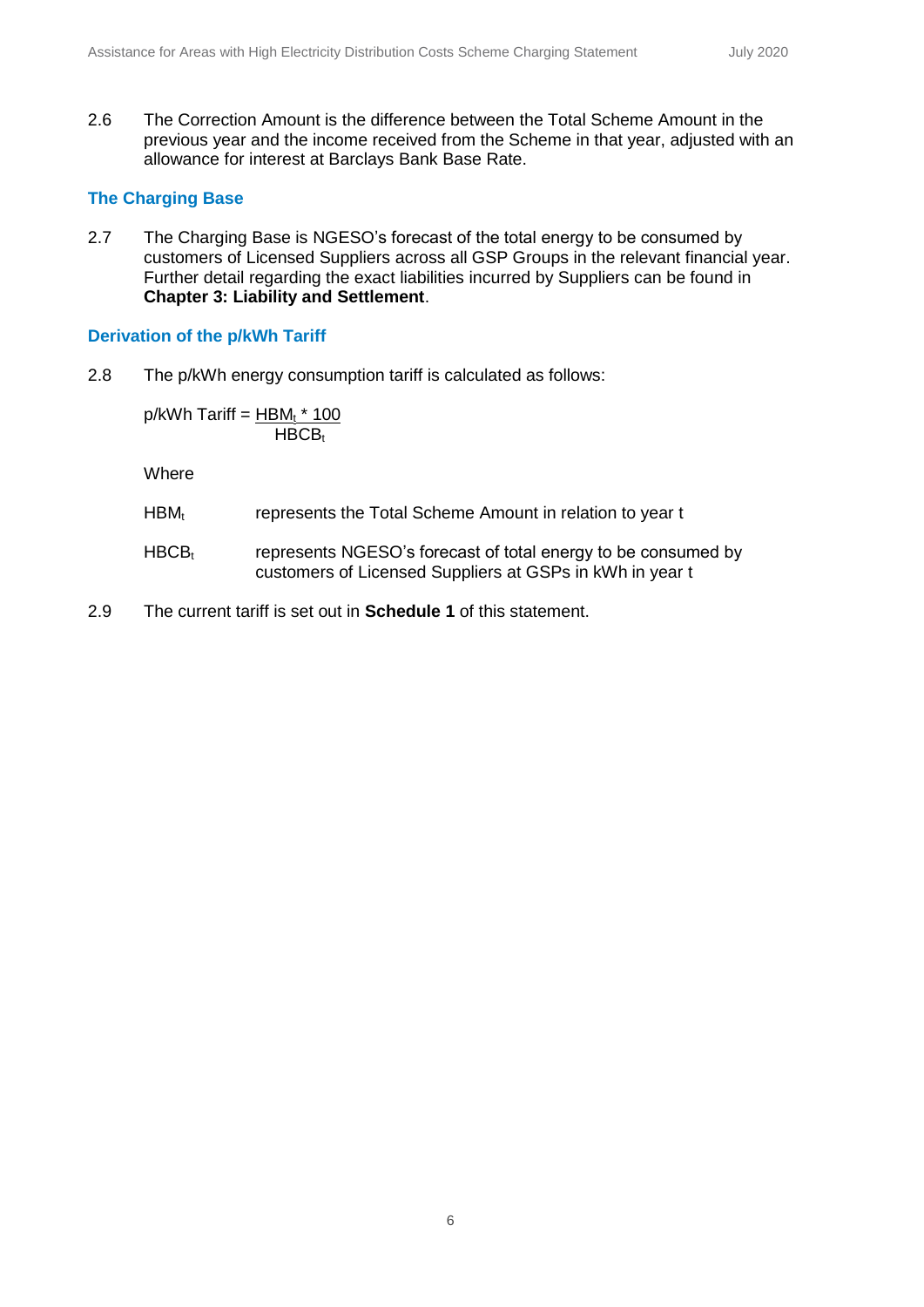2.6 The Correction Amount is the difference between the Total Scheme Amount in the previous year and the income received from the Scheme in that year, adjusted with an allowance for interest at Barclays Bank Base Rate.

#### **The Charging Base**

2.7 The Charging Base is NGESO's forecast of the total energy to be consumed by customers of Licensed Suppliers across all GSP Groups in the relevant financial year. Further detail regarding the exact liabilities incurred by Suppliers can be found in **Chapter 3: Liability and Settlement**.

#### **Derivation of the p/kWh Tariff**

2.8 The p/kWh energy consumption tariff is calculated as follows:

 $p/kWh$  Tariff =  $HBM<sub>t</sub> * 100$  $HBCB_t$ 

Where

- HBM<sub>t</sub> represents the Total Scheme Amount in relation to year t
- $HBCB<sub>t</sub>$  represents NGESO's forecast of total energy to be consumed by customers of Licensed Suppliers at GSPs in kWh in year t
- 2.9 The current tariff is set out in **Schedule 1** of this statement.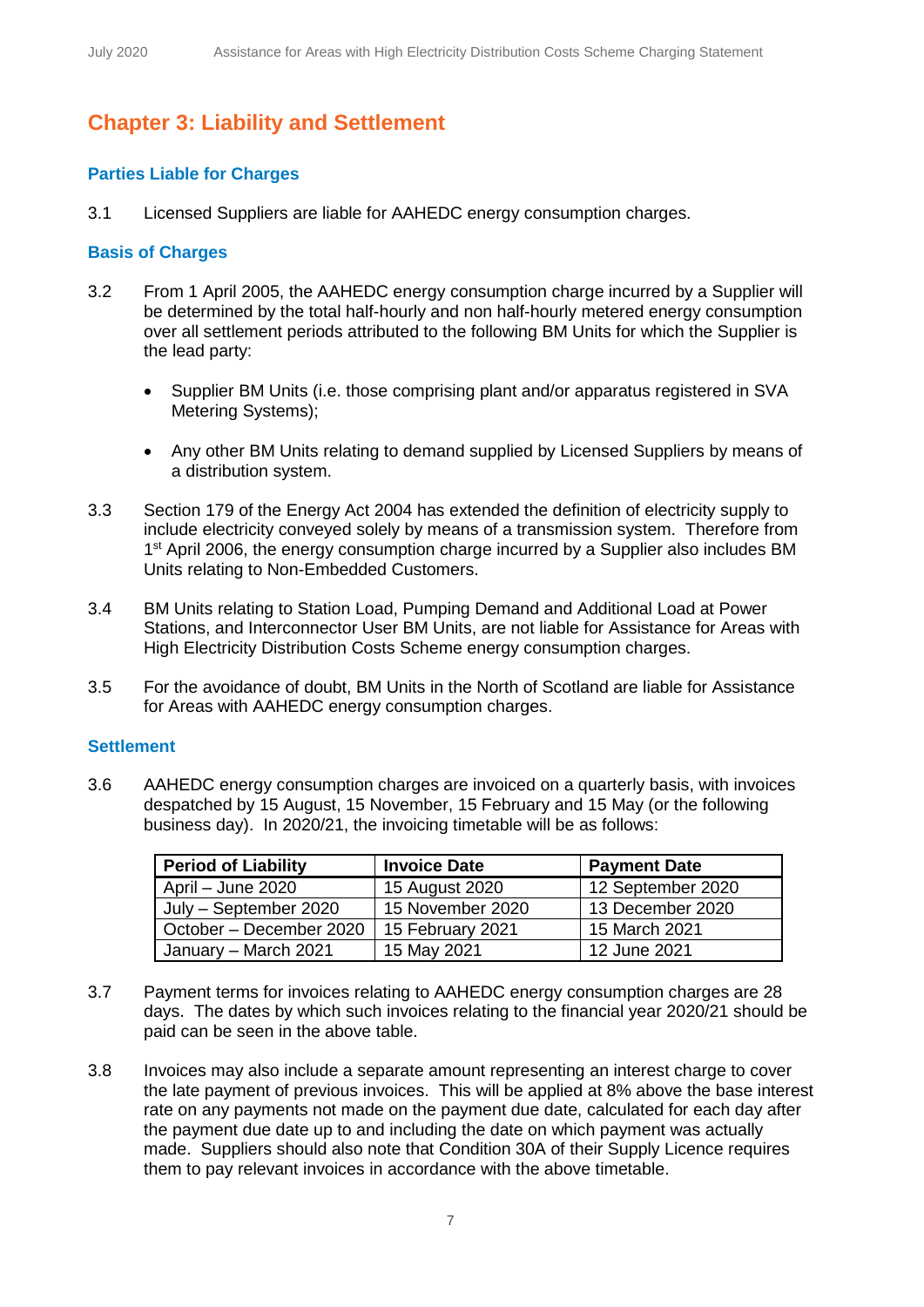## **Chapter 3: Liability and Settlement**

#### **Parties Liable for Charges**

3.1 Licensed Suppliers are liable for AAHEDC energy consumption charges.

#### **Basis of Charges**

- 3.2 From 1 April 2005, the AAHEDC energy consumption charge incurred by a Supplier will be determined by the total half-hourly and non half-hourly metered energy consumption over all settlement periods attributed to the following BM Units for which the Supplier is the lead party:
	- Supplier BM Units (i.e. those comprising plant and/or apparatus registered in SVA Metering Systems);
	- Any other BM Units relating to demand supplied by Licensed Suppliers by means of a distribution system.
- 3.3 Section 179 of the Energy Act 2004 has extended the definition of electricity supply to include electricity conveyed solely by means of a transmission system. Therefore from 1<sup>st</sup> April 2006, the energy consumption charge incurred by a Supplier also includes BM Units relating to Non-Embedded Customers.
- 3.4 BM Units relating to Station Load, Pumping Demand and Additional Load at Power Stations, and Interconnector User BM Units, are not liable for Assistance for Areas with High Electricity Distribution Costs Scheme energy consumption charges.
- 3.5 For the avoidance of doubt, BM Units in the North of Scotland are liable for Assistance for Areas with AAHEDC energy consumption charges.

#### **Settlement**

3.6 AAHEDC energy consumption charges are invoiced on a quarterly basis, with invoices despatched by 15 August, 15 November, 15 February and 15 May (or the following business day). In 2020/21, the invoicing timetable will be as follows:

| <b>Period of Liability</b> | <b>Invoice Date</b> | <b>Payment Date</b> |
|----------------------------|---------------------|---------------------|
| April – June 2020          | 15 August 2020      | 12 September 2020   |
| July - September 2020      | 15 November 2020    | 13 December 2020    |
| October - December 2020    | 15 February 2021    | 15 March 2021       |
| January - March 2021       | 15 May 2021         | 12 June 2021        |

- 3.7 Payment terms for invoices relating to AAHEDC energy consumption charges are 28 days. The dates by which such invoices relating to the financial year 2020/21 should be paid can be seen in the above table.
- 3.8 Invoices may also include a separate amount representing an interest charge to cover the late payment of previous invoices. This will be applied at 8% above the base interest rate on any payments not made on the payment due date, calculated for each day after the payment due date up to and including the date on which payment was actually made. Suppliers should also note that Condition 30A of their Supply Licence requires them to pay relevant invoices in accordance with the above timetable.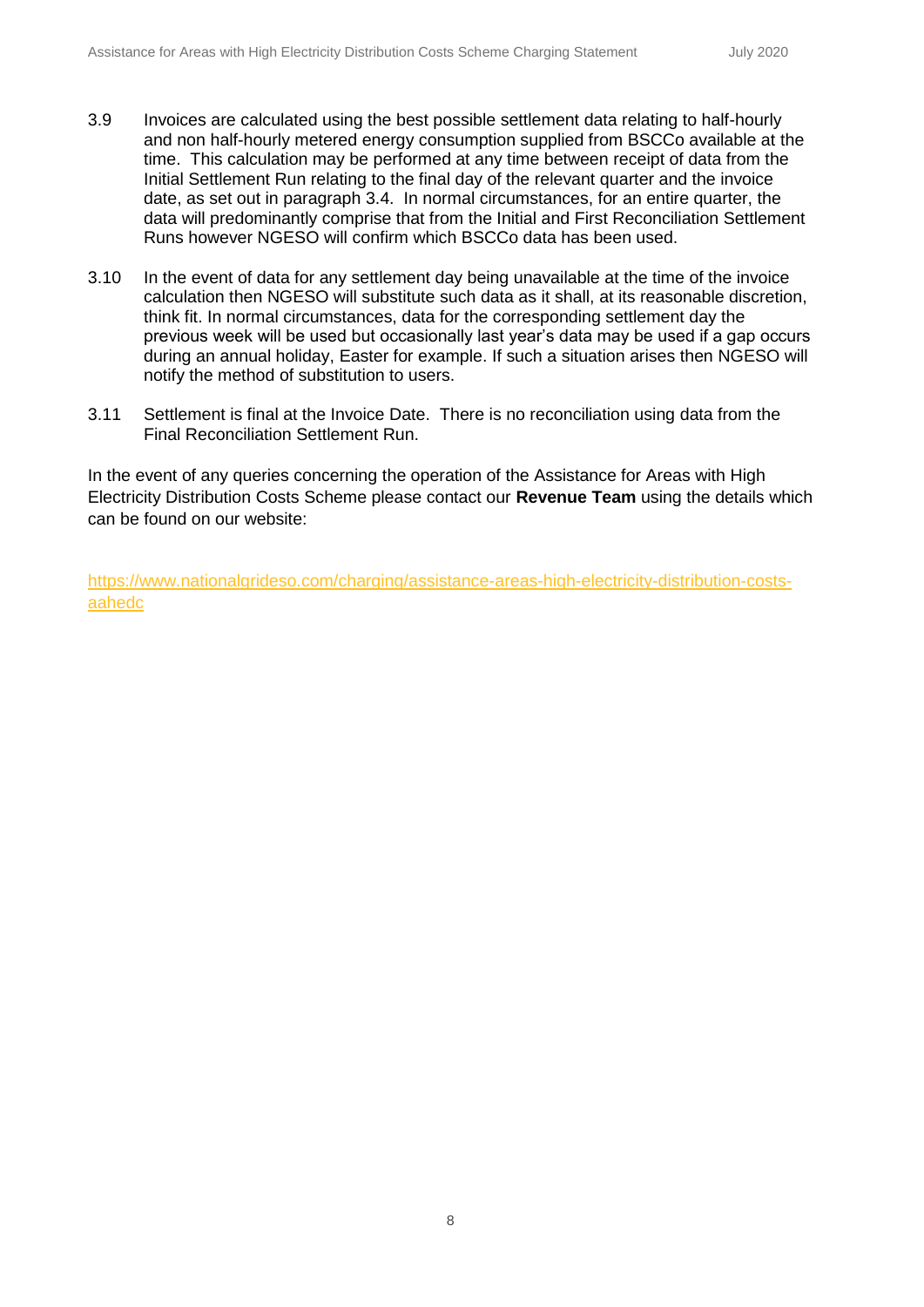- 3.9 Invoices are calculated using the best possible settlement data relating to half-hourly and non half-hourly metered energy consumption supplied from BSCCo available at the time. This calculation may be performed at any time between receipt of data from the Initial Settlement Run relating to the final day of the relevant quarter and the invoice date, as set out in paragraph 3.4. In normal circumstances, for an entire quarter, the data will predominantly comprise that from the Initial and First Reconciliation Settlement Runs however NGESO will confirm which BSCCo data has been used.
- 3.10 In the event of data for any settlement day being unavailable at the time of the invoice calculation then NGESO will substitute such data as it shall, at its reasonable discretion, think fit. In normal circumstances, data for the corresponding settlement day the previous week will be used but occasionally last year's data may be used if a gap occurs during an annual holiday, Easter for example. If such a situation arises then NGESO will notify the method of substitution to users.
- 3.11 Settlement is final at the Invoice Date. There is no reconciliation using data from the Final Reconciliation Settlement Run.

In the event of any queries concerning the operation of the Assistance for Areas with High Electricity Distribution Costs Scheme please contact our **Revenue Team** using the details which can be found on our website:

[https://www.nationalgrideso.com/charging/assistance-areas-high-electricity-distribution-costs](https://www.nationalgrideso.com/charging/assistance-areas-high-electricity-distribution-costs-aahedc)[aahedc](https://www.nationalgrideso.com/charging/assistance-areas-high-electricity-distribution-costs-aahedc)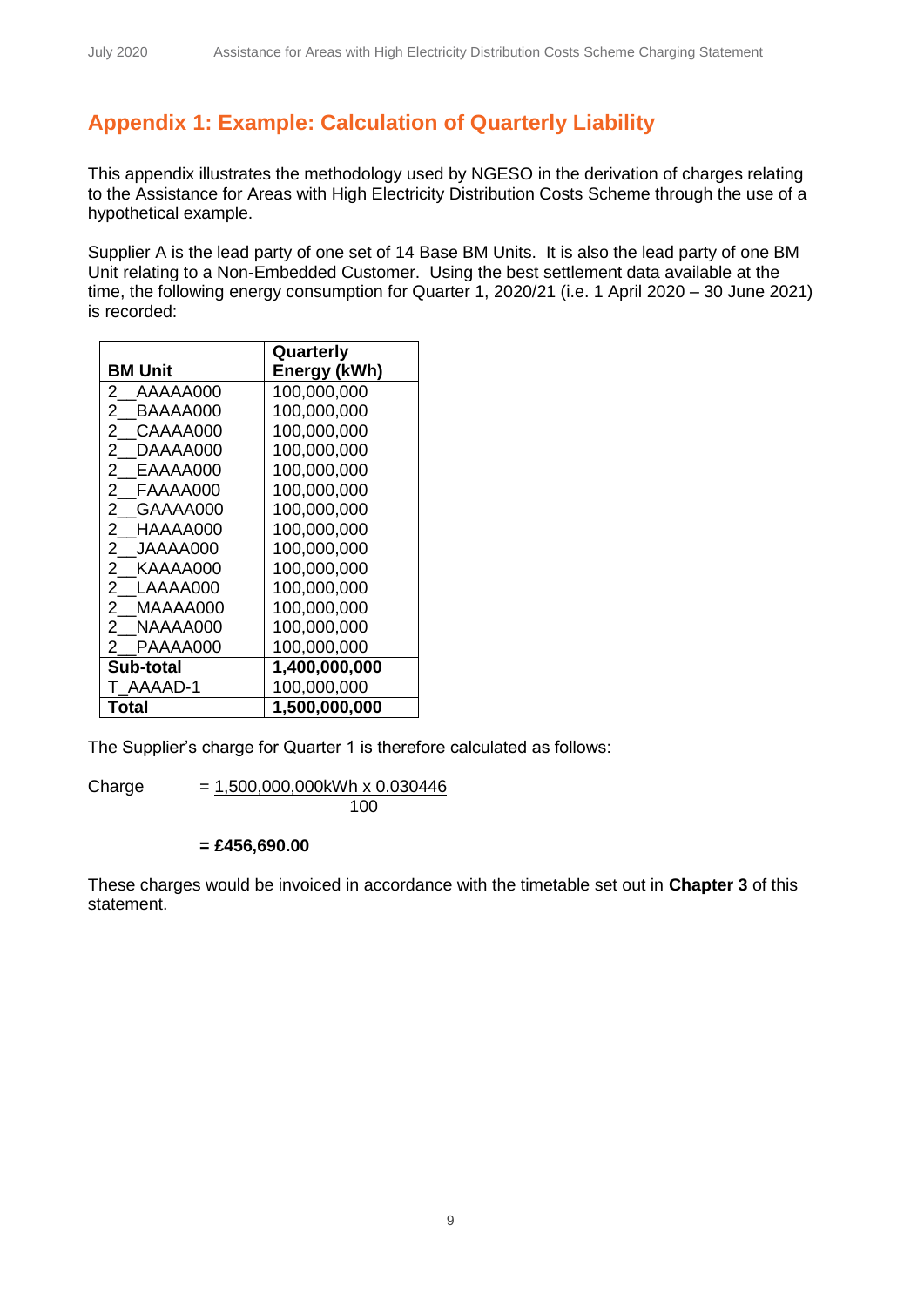## **Appendix 1: Example: Calculation of Quarterly Liability**

This appendix illustrates the methodology used by NGESO in the derivation of charges relating to the Assistance for Areas with High Electricity Distribution Costs Scheme through the use of a hypothetical example.

Supplier A is the lead party of one set of 14 Base BM Units. It is also the lead party of one BM Unit relating to a Non-Embedded Customer. Using the best settlement data available at the time, the following energy consumption for Quarter 1, 2020/21 (i.e. 1 April 2020 – 30 June 2021) is recorded:

|                            | Quarterly     |
|----------------------------|---------------|
| <b>BM Unit</b>             | Energy (kWh)  |
| 2<br>AAAAA000              | 100,000,000   |
| 2.<br>BAAAA000             | 100,000,000   |
| 2<br>CAAAA000              | 100,000,000   |
| 2<br>DAAAA000              | 100,000,000   |
| EAAAA000<br>2              | 100,000,000   |
| 2<br>FAAAA000              | 100,000,000   |
| 2<br>GAAAA000              | 100,000,000   |
| 2<br>HAAAA000              | 100,000,000   |
| $\mathbf{2}$<br>JAAAA000   | 100,000,000   |
| $^{2}$<br>KAAAA000         | 100,000,000   |
| 2 LAAAA000                 | 100,000,000   |
| $\overline{2}$<br>MAAAA000 | 100,000,000   |
| 2<br>NAAAA000              | 100,000,000   |
| PAAAA000<br>2              | 100,000,000   |
| Sub-total                  | 1,400,000,000 |
| T AAAAD-1                  | 100,000,000   |
| Total                      | 1,500,000,000 |

The Supplier's charge for Quarter 1 is therefore calculated as follows:

Charge  $= 1,500,000,000kWh \times 0.030446$ 100

#### **= £456,690.00**

These charges would be invoiced in accordance with the timetable set out in **Chapter 3** of this statement.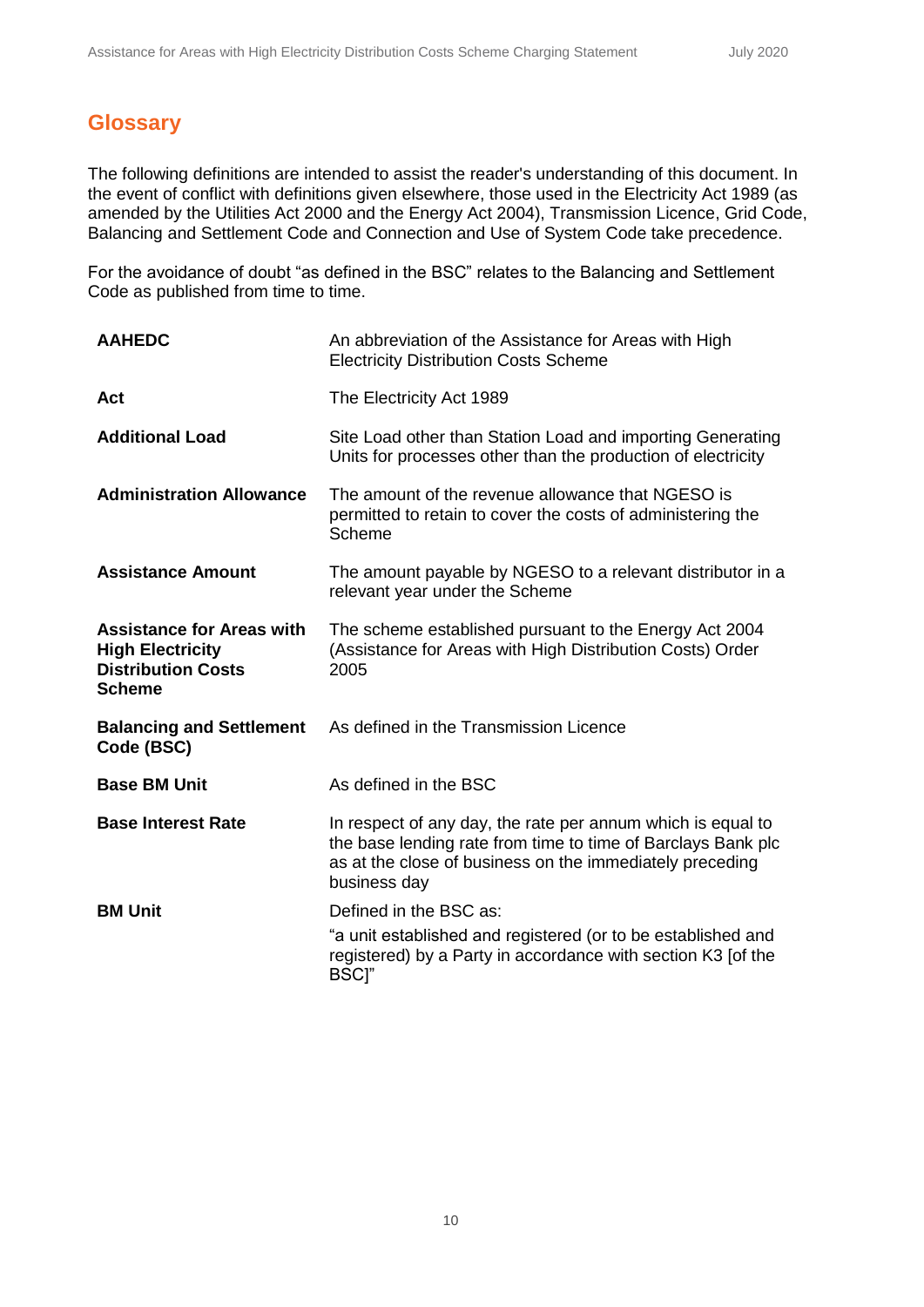## **Glossary**

The following definitions are intended to assist the reader's understanding of this document. In the event of conflict with definitions given elsewhere, those used in the Electricity Act 1989 (as amended by the Utilities Act 2000 and the Energy Act 2004), Transmission Licence, Grid Code, Balancing and Settlement Code and Connection and Use of System Code take precedence.

For the avoidance of doubt "as defined in the BSC" relates to the Balancing and Settlement Code as published from time to time.

| <b>AAHEDC</b>                                                                                             | An abbreviation of the Assistance for Areas with High<br><b>Electricity Distribution Costs Scheme</b>                                                                                                   |
|-----------------------------------------------------------------------------------------------------------|---------------------------------------------------------------------------------------------------------------------------------------------------------------------------------------------------------|
| Act                                                                                                       | The Electricity Act 1989                                                                                                                                                                                |
| <b>Additional Load</b>                                                                                    | Site Load other than Station Load and importing Generating<br>Units for processes other than the production of electricity                                                                              |
| <b>Administration Allowance</b>                                                                           | The amount of the revenue allowance that NGESO is<br>permitted to retain to cover the costs of administering the<br>Scheme                                                                              |
| <b>Assistance Amount</b>                                                                                  | The amount payable by NGESO to a relevant distributor in a<br>relevant year under the Scheme                                                                                                            |
| <b>Assistance for Areas with</b><br><b>High Electricity</b><br><b>Distribution Costs</b><br><b>Scheme</b> | The scheme established pursuant to the Energy Act 2004<br>(Assistance for Areas with High Distribution Costs) Order<br>2005                                                                             |
| <b>Balancing and Settlement</b><br>Code (BSC)                                                             | As defined in the Transmission Licence                                                                                                                                                                  |
| <b>Base BM Unit</b>                                                                                       | As defined in the BSC                                                                                                                                                                                   |
| <b>Base Interest Rate</b>                                                                                 | In respect of any day, the rate per annum which is equal to<br>the base lending rate from time to time of Barclays Bank plc<br>as at the close of business on the immediately preceding<br>business day |
| <b>BM Unit</b>                                                                                            | Defined in the BSC as:                                                                                                                                                                                  |
|                                                                                                           | "a unit established and registered (or to be established and<br>registered) by a Party in accordance with section K3 [of the<br>BSCl"                                                                   |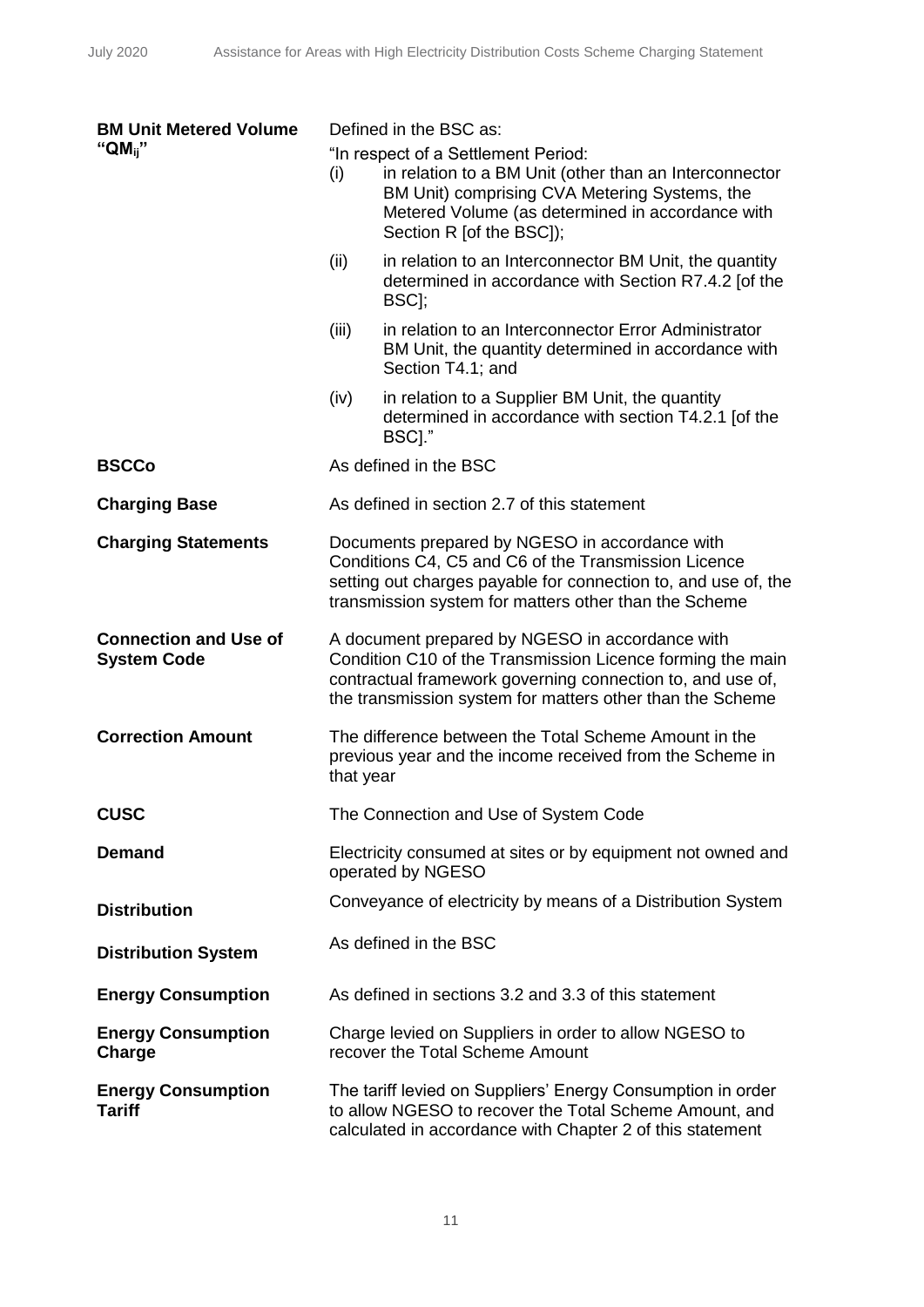| <b>BM Unit Metered Volume</b>                      | Defined in the BSC as: |                                                                                                                                                                                                                                          |
|----------------------------------------------------|------------------------|------------------------------------------------------------------------------------------------------------------------------------------------------------------------------------------------------------------------------------------|
| " $QM_{ii}$ "                                      | (i)                    | "In respect of a Settlement Period:<br>in relation to a BM Unit (other than an Interconnector<br>BM Unit) comprising CVA Metering Systems, the<br>Metered Volume (as determined in accordance with<br>Section R [of the BSC]);           |
|                                                    | (ii)                   | in relation to an Interconnector BM Unit, the quantity<br>determined in accordance with Section R7.4.2 [of the<br>BSC <sub>I</sub> ;                                                                                                     |
|                                                    | (iii)                  | in relation to an Interconnector Error Administrator<br>BM Unit, the quantity determined in accordance with<br>Section T4.1; and                                                                                                         |
|                                                    | (iv)                   | in relation to a Supplier BM Unit, the quantity<br>determined in accordance with section T4.2.1 [of the<br>BSCI."                                                                                                                        |
| <b>BSCCo</b>                                       |                        | As defined in the BSC                                                                                                                                                                                                                    |
| <b>Charging Base</b>                               |                        | As defined in section 2.7 of this statement                                                                                                                                                                                              |
| <b>Charging Statements</b>                         |                        | Documents prepared by NGESO in accordance with<br>Conditions C4, C5 and C6 of the Transmission Licence<br>setting out charges payable for connection to, and use of, the<br>transmission system for matters other than the Scheme        |
| <b>Connection and Use of</b><br><b>System Code</b> |                        | A document prepared by NGESO in accordance with<br>Condition C10 of the Transmission Licence forming the main<br>contractual framework governing connection to, and use of,<br>the transmission system for matters other than the Scheme |
| <b>Correction Amount</b>                           | that year              | The difference between the Total Scheme Amount in the<br>previous year and the income received from the Scheme in                                                                                                                        |
| <b>CUSC</b>                                        |                        | The Connection and Use of System Code                                                                                                                                                                                                    |
| <b>Demand</b>                                      |                        | Electricity consumed at sites or by equipment not owned and<br>operated by NGESO                                                                                                                                                         |
| <b>Distribution</b>                                |                        | Conveyance of electricity by means of a Distribution System                                                                                                                                                                              |
| <b>Distribution System</b>                         |                        | As defined in the BSC                                                                                                                                                                                                                    |
| <b>Energy Consumption</b>                          |                        | As defined in sections 3.2 and 3.3 of this statement                                                                                                                                                                                     |
| <b>Energy Consumption</b><br>Charge                |                        | Charge levied on Suppliers in order to allow NGESO to<br>recover the Total Scheme Amount                                                                                                                                                 |
| <b>Energy Consumption</b><br><b>Tariff</b>         |                        | The tariff levied on Suppliers' Energy Consumption in order<br>to allow NGESO to recover the Total Scheme Amount, and<br>calculated in accordance with Chapter 2 of this statement                                                       |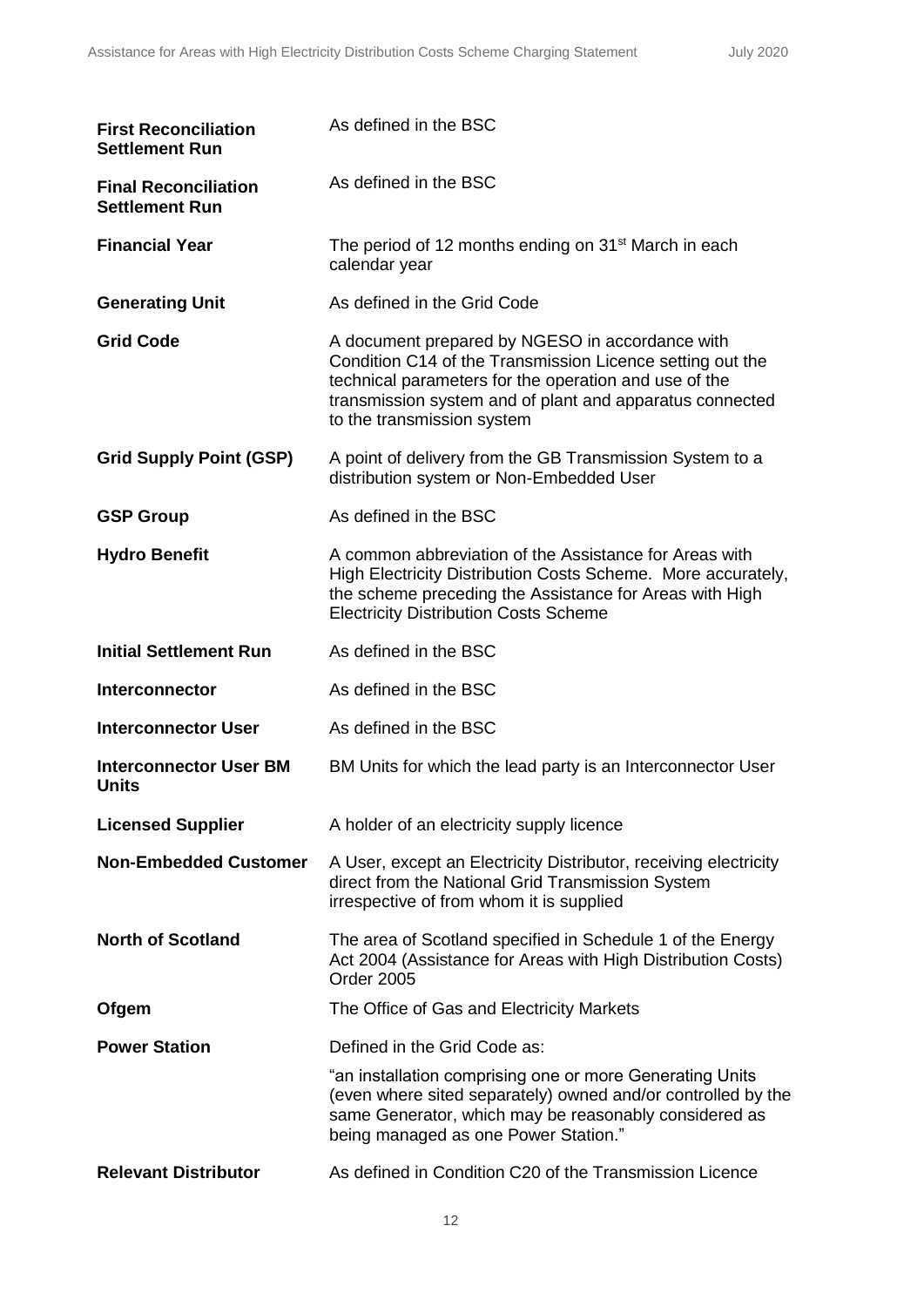| <b>First Reconciliation</b><br><b>Settlement Run</b> | As defined in the BSC                                                                                                                                                                                                                                           |
|------------------------------------------------------|-----------------------------------------------------------------------------------------------------------------------------------------------------------------------------------------------------------------------------------------------------------------|
| <b>Final Reconciliation</b><br><b>Settlement Run</b> | As defined in the BSC                                                                                                                                                                                                                                           |
| <b>Financial Year</b>                                | The period of 12 months ending on 31 <sup>st</sup> March in each<br>calendar year                                                                                                                                                                               |
| <b>Generating Unit</b>                               | As defined in the Grid Code                                                                                                                                                                                                                                     |
| <b>Grid Code</b>                                     | A document prepared by NGESO in accordance with<br>Condition C14 of the Transmission Licence setting out the<br>technical parameters for the operation and use of the<br>transmission system and of plant and apparatus connected<br>to the transmission system |
| <b>Grid Supply Point (GSP)</b>                       | A point of delivery from the GB Transmission System to a<br>distribution system or Non-Embedded User                                                                                                                                                            |
| <b>GSP Group</b>                                     | As defined in the BSC                                                                                                                                                                                                                                           |
| <b>Hydro Benefit</b>                                 | A common abbreviation of the Assistance for Areas with<br>High Electricity Distribution Costs Scheme. More accurately,<br>the scheme preceding the Assistance for Areas with High<br><b>Electricity Distribution Costs Scheme</b>                               |
| <b>Initial Settlement Run</b>                        | As defined in the BSC                                                                                                                                                                                                                                           |
| <b>Interconnector</b>                                | As defined in the BSC                                                                                                                                                                                                                                           |
| <b>Interconnector User</b>                           | As defined in the BSC                                                                                                                                                                                                                                           |
| <b>Interconnector User BM</b><br><b>Units</b>        | BM Units for which the lead party is an Interconnector User                                                                                                                                                                                                     |
| <b>Licensed Supplier</b>                             | A holder of an electricity supply licence                                                                                                                                                                                                                       |
| <b>Non-Embedded Customer</b>                         | A User, except an Electricity Distributor, receiving electricity<br>direct from the National Grid Transmission System<br>irrespective of from whom it is supplied                                                                                               |
| <b>North of Scotland</b>                             | The area of Scotland specified in Schedule 1 of the Energy<br>Act 2004 (Assistance for Areas with High Distribution Costs)<br>Order 2005                                                                                                                        |
| Ofgem                                                | The Office of Gas and Electricity Markets                                                                                                                                                                                                                       |
| <b>Power Station</b>                                 | Defined in the Grid Code as:                                                                                                                                                                                                                                    |
|                                                      | "an installation comprising one or more Generating Units<br>(even where sited separately) owned and/or controlled by the<br>same Generator, which may be reasonably considered as<br>being managed as one Power Station."                                       |
| <b>Relevant Distributor</b>                          | As defined in Condition C20 of the Transmission Licence                                                                                                                                                                                                         |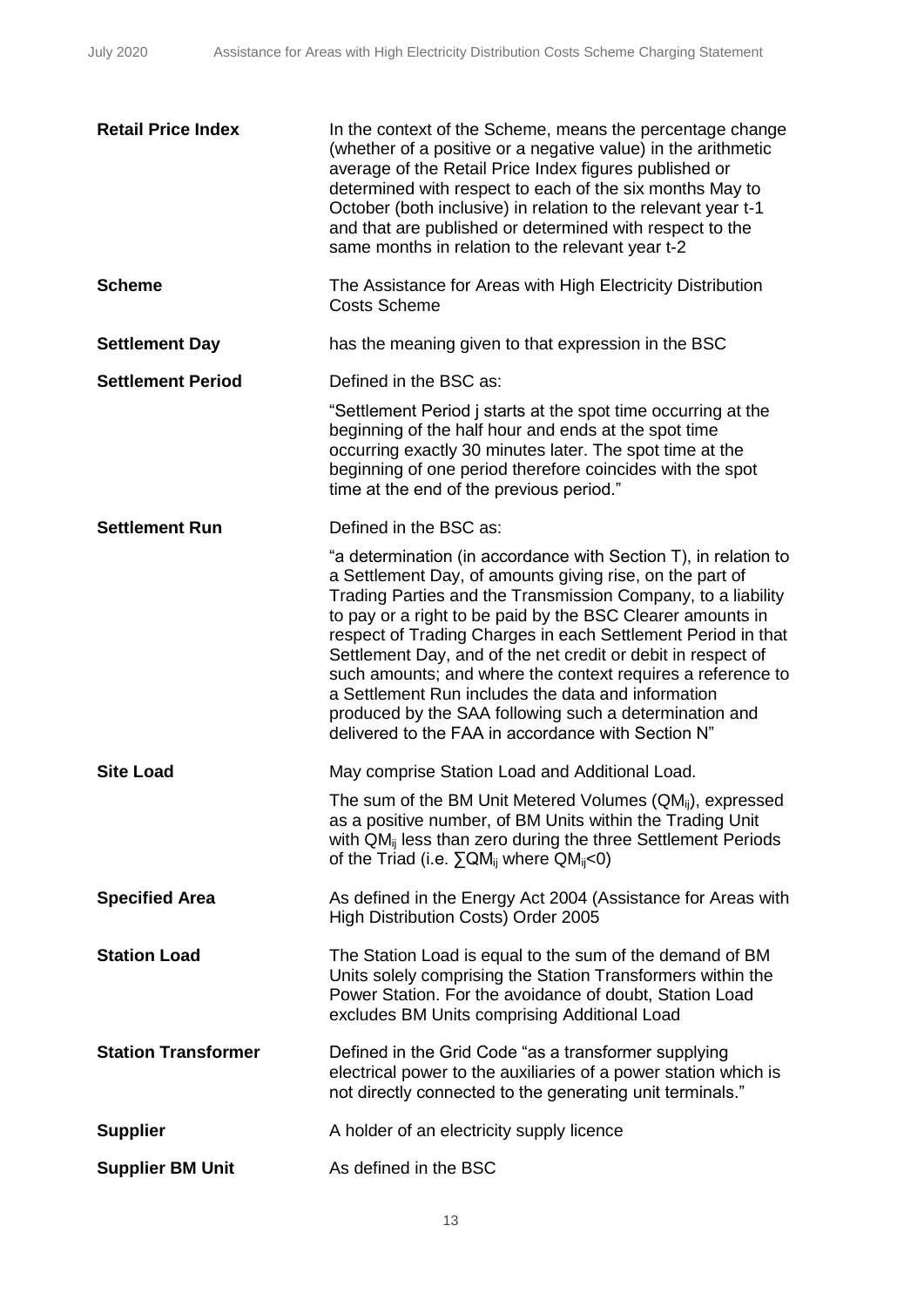| <b>Retail Price Index</b>  | In the context of the Scheme, means the percentage change<br>(whether of a positive or a negative value) in the arithmetic<br>average of the Retail Price Index figures published or<br>determined with respect to each of the six months May to<br>October (both inclusive) in relation to the relevant year t-1<br>and that are published or determined with respect to the<br>same months in relation to the relevant year t-2                                                                                                                                                                                              |
|----------------------------|--------------------------------------------------------------------------------------------------------------------------------------------------------------------------------------------------------------------------------------------------------------------------------------------------------------------------------------------------------------------------------------------------------------------------------------------------------------------------------------------------------------------------------------------------------------------------------------------------------------------------------|
| <b>Scheme</b>              | The Assistance for Areas with High Electricity Distribution<br><b>Costs Scheme</b>                                                                                                                                                                                                                                                                                                                                                                                                                                                                                                                                             |
| <b>Settlement Day</b>      | has the meaning given to that expression in the BSC                                                                                                                                                                                                                                                                                                                                                                                                                                                                                                                                                                            |
| <b>Settlement Period</b>   | Defined in the BSC as:                                                                                                                                                                                                                                                                                                                                                                                                                                                                                                                                                                                                         |
|                            | "Settlement Period j starts at the spot time occurring at the<br>beginning of the half hour and ends at the spot time<br>occurring exactly 30 minutes later. The spot time at the<br>beginning of one period therefore coincides with the spot<br>time at the end of the previous period."                                                                                                                                                                                                                                                                                                                                     |
| <b>Settlement Run</b>      | Defined in the BSC as:                                                                                                                                                                                                                                                                                                                                                                                                                                                                                                                                                                                                         |
|                            | "a determination (in accordance with Section T), in relation to<br>a Settlement Day, of amounts giving rise, on the part of<br>Trading Parties and the Transmission Company, to a liability<br>to pay or a right to be paid by the BSC Clearer amounts in<br>respect of Trading Charges in each Settlement Period in that<br>Settlement Day, and of the net credit or debit in respect of<br>such amounts; and where the context requires a reference to<br>a Settlement Run includes the data and information<br>produced by the SAA following such a determination and<br>delivered to the FAA in accordance with Section N" |
| <b>Site Load</b>           | May comprise Station Load and Additional Load.                                                                                                                                                                                                                                                                                                                                                                                                                                                                                                                                                                                 |
|                            | The sum of the BM Unit Metered Volumes (QM <sub>ij</sub> ), expressed<br>as a positive number, of BM Units within the Trading Unit<br>with QM <sub>ii</sub> less than zero during the three Settlement Periods<br>of the Triad (i.e. $\Sigma QM_{ij}$ where $QM_{ij}$ <0)                                                                                                                                                                                                                                                                                                                                                      |
| <b>Specified Area</b>      | As defined in the Energy Act 2004 (Assistance for Areas with<br>High Distribution Costs) Order 2005                                                                                                                                                                                                                                                                                                                                                                                                                                                                                                                            |
| <b>Station Load</b>        | The Station Load is equal to the sum of the demand of BM<br>Units solely comprising the Station Transformers within the<br>Power Station. For the avoidance of doubt, Station Load<br>excludes BM Units comprising Additional Load                                                                                                                                                                                                                                                                                                                                                                                             |
| <b>Station Transformer</b> | Defined in the Grid Code "as a transformer supplying<br>electrical power to the auxiliaries of a power station which is<br>not directly connected to the generating unit terminals."                                                                                                                                                                                                                                                                                                                                                                                                                                           |
| <b>Supplier</b>            | A holder of an electricity supply licence                                                                                                                                                                                                                                                                                                                                                                                                                                                                                                                                                                                      |
| <b>Supplier BM Unit</b>    | As defined in the BSC                                                                                                                                                                                                                                                                                                                                                                                                                                                                                                                                                                                                          |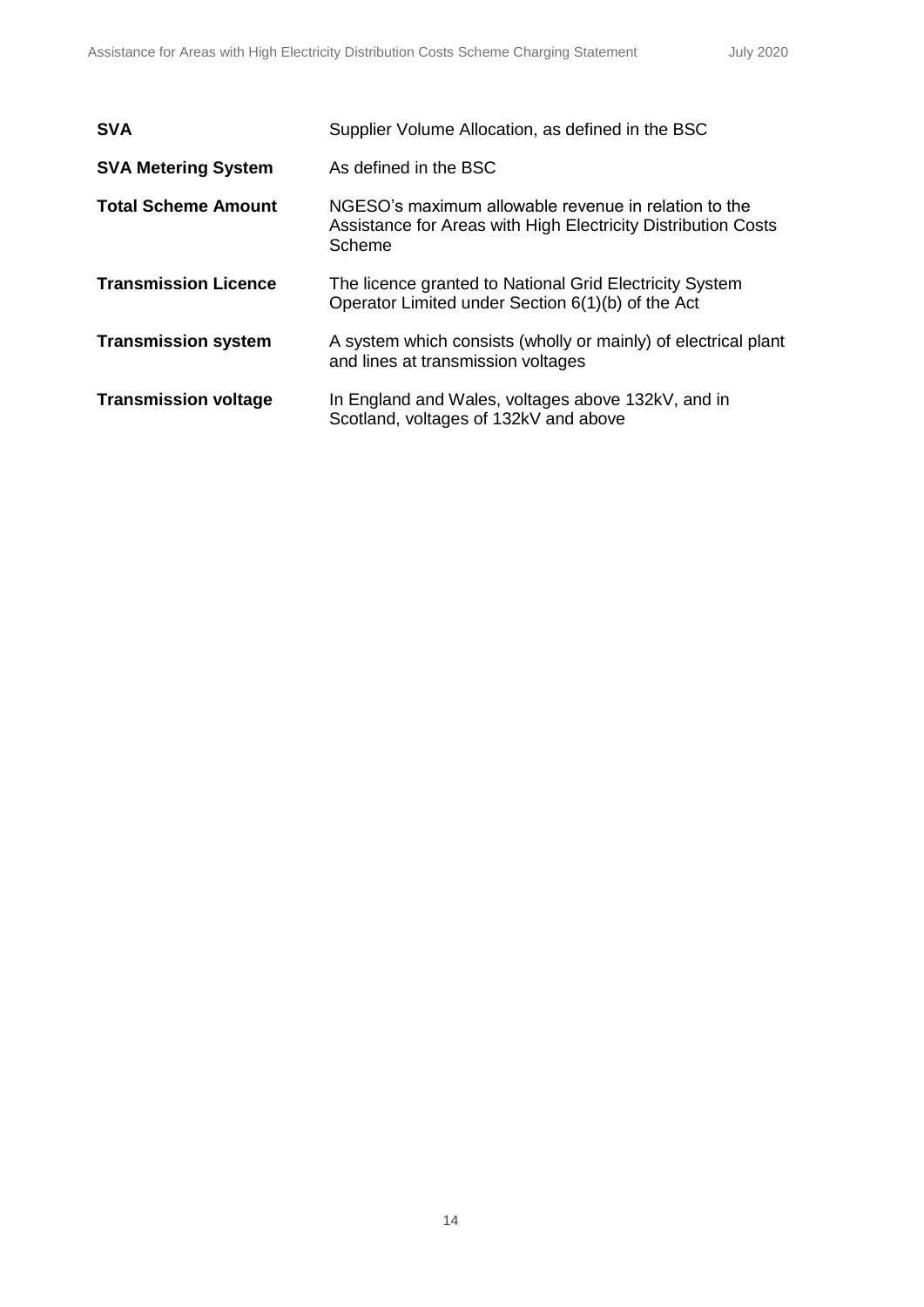| <b>SVA</b>                  | Supplier Volume Allocation, as defined in the BSC                                                                               |
|-----------------------------|---------------------------------------------------------------------------------------------------------------------------------|
| <b>SVA Metering System</b>  | As defined in the BSC                                                                                                           |
| <b>Total Scheme Amount</b>  | NGESO's maximum allowable revenue in relation to the<br>Assistance for Areas with High Electricity Distribution Costs<br>Scheme |
| <b>Transmission Licence</b> | The licence granted to National Grid Electricity System<br>Operator Limited under Section 6(1)(b) of the Act                    |
| <b>Transmission system</b>  | A system which consists (wholly or mainly) of electrical plant<br>and lines at transmission voltages                            |
| <b>Transmission voltage</b> | In England and Wales, voltages above 132kV, and in<br>Scotland, voltages of 132kV and above                                     |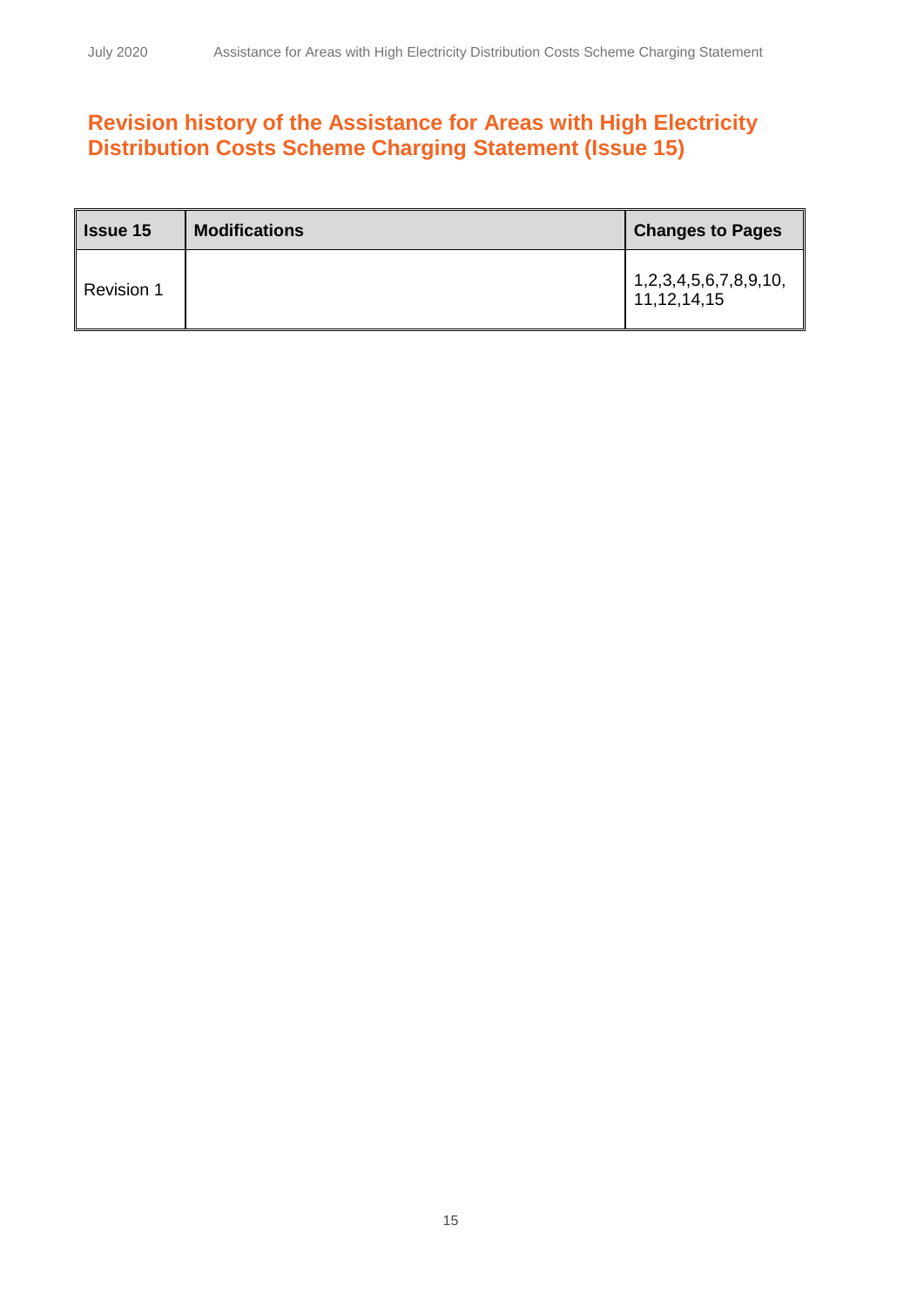## **Revision history of the Assistance for Areas with High Electricity Distribution Costs Scheme Charging Statement (Issue 15)**

| <b>Issue 15</b>   | <b>Modifications</b> | <b>Changes to Pages</b>                          |
|-------------------|----------------------|--------------------------------------------------|
| <b>Revision 1</b> |                      | 1, 2, 3, 4, 5, 6, 7, 8, 9, 10,<br>11, 12, 14, 15 |